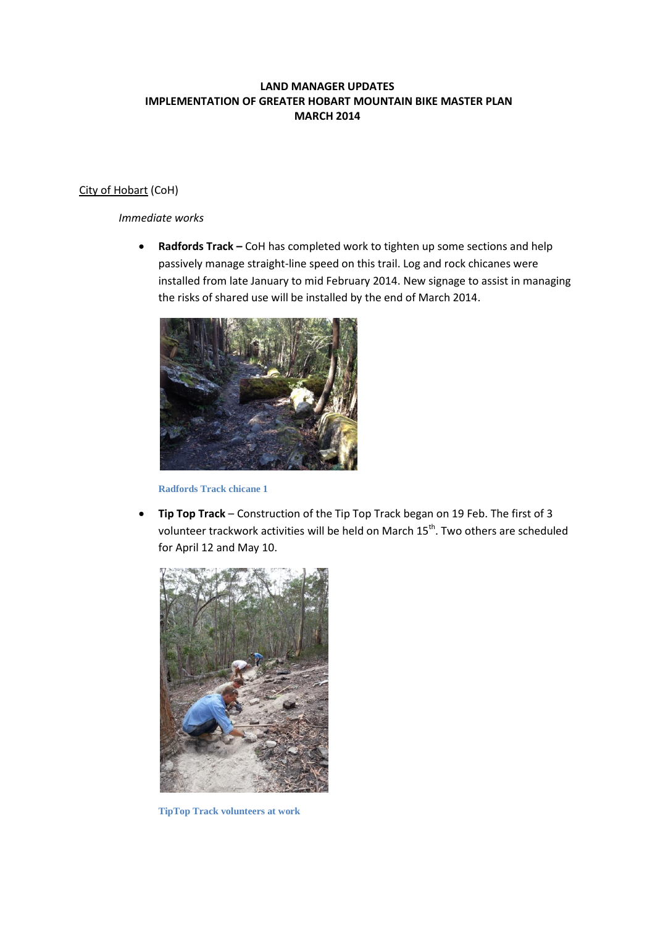# **LAND MANAGER UPDATES IMPLEMENTATION OF GREATER HOBART MOUNTAIN BIKE MASTER PLAN MARCH 2014**

## City of Hobart (CoH)

## *Immediate works*

 **Radfords Track –** CoH has completed work to tighten up some sections and help passively manage straight-line speed on this trail. Log and rock chicanes were installed from late January to mid February 2014. New signage to assist in managing the risks of shared use will be installed by the end of March 2014.



**Radfords Track chicane 1**

 **Tip Top Track** – Construction of the Tip Top Track began on 19 Feb. The first of 3 volunteer trackwork activities will be held on March 15<sup>th</sup>. Two others are scheduled for April 12 and May 10.



**TipTop Track volunteers at work**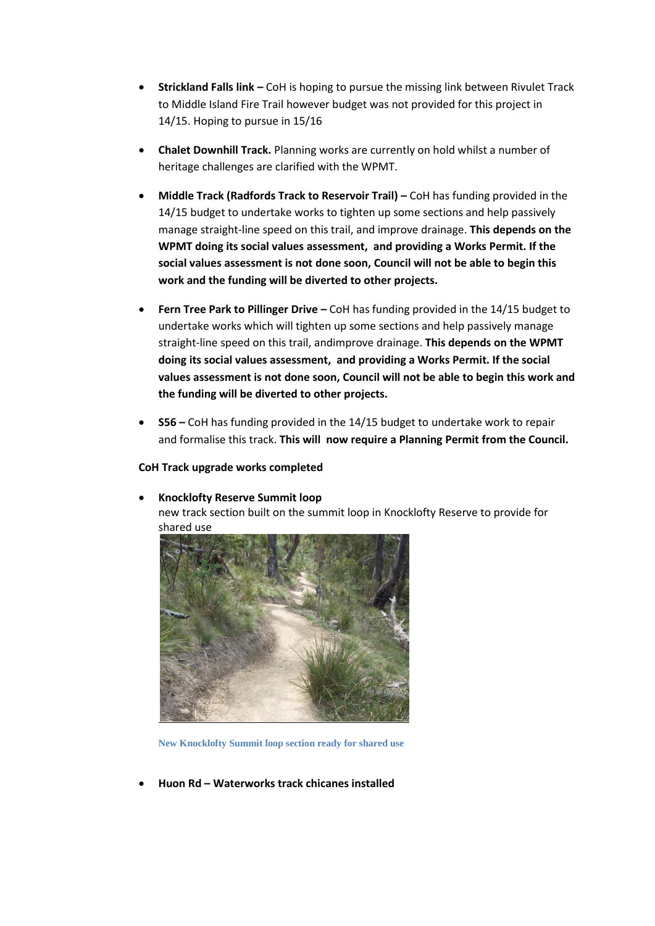- **Strickland Falls link –** CoH is hoping to pursue the missing link between Rivulet Track to Middle Island Fire Trail however budget was not provided for this project in 14/15. Hoping to pursue in 15/16
- **Chalet Downhill Track.** Planning works are currently on hold whilst a number of heritage challenges are clarified with the WPMT.
- **Middle Track (Radfords Track to Reservoir Trail) CoH has funding provided in the** 14/15 budget to undertake works to tighten up some sections and help passively manage straight-line speed on this trail, and improve drainage. **This depends on the WPMT doing its social values assessment, and providing a Works Permit. If the social values assessment is not done soon, Council will not be able to begin this work and the funding will be diverted to other projects.**
- **Fern Tree Park to Pillinger Drive –** CoH has funding provided in the 14/15 budget to undertake works which will tighten up some sections and help passively manage straight-line speed on this trail, andimprove drainage. **This depends on the WPMT doing its social values assessment, and providing a Works Permit. If the social values assessment is not done soon, Council will not be able to begin this work and the funding will be diverted to other projects.**
- **S56 –** CoH has funding provided in the 14/15 budget to undertake work to repair and formalise this track. **This will now require a Planning Permit from the Council.**

## **CoH Track upgrade works completed**

#### **Knocklofty Reserve Summit loop**

new track section built on the summit loop in Knocklofty Reserve to provide for shared use



**New Knocklofty Summit loop section ready for shared use**

**Huon Rd – Waterworks track chicanes installed**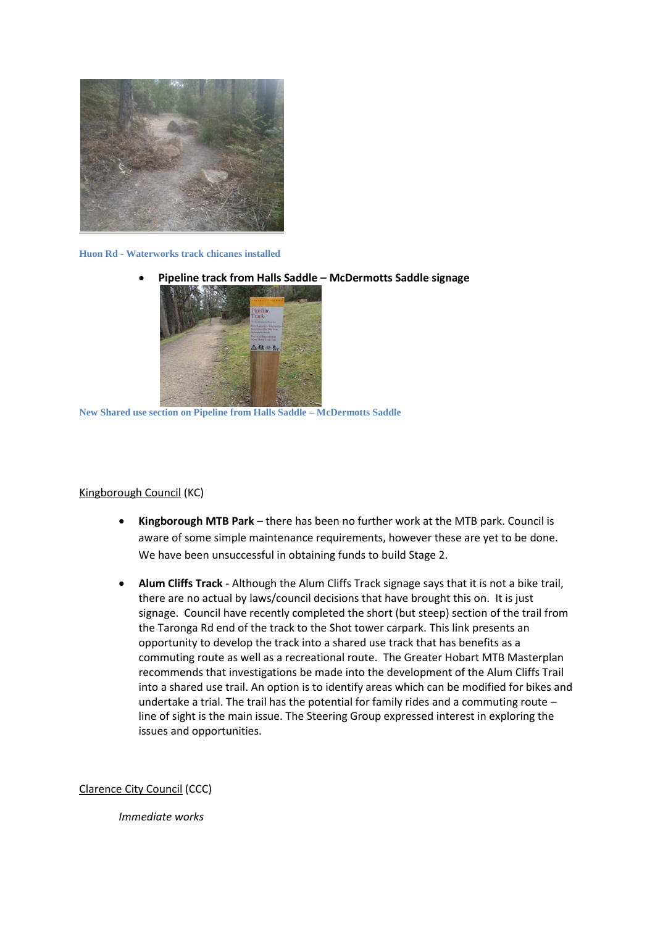

#### **Huon Rd - Waterworks track chicanes installed**

**Pipeline track from Halls Saddle – McDermotts Saddle signage**



**New Shared use section on Pipeline from Halls Saddle – McDermotts Saddle**

## Kingborough Council (KC)

- **Kingborough MTB Park** there has been no further work at the MTB park. Council is aware of some simple maintenance requirements, however these are yet to be done. We have been unsuccessful in obtaining funds to build Stage 2.
- **Alum Cliffs Track** Although the Alum Cliffs Track signage says that it is not a bike trail, there are no actual by laws/council decisions that have brought this on. It is just signage. Council have recently completed the short (but steep) section of the trail from the Taronga Rd end of the track to the Shot tower carpark. This link presents an opportunity to develop the track into a shared use track that has benefits as a commuting route as well as a recreational route. The Greater Hobart MTB Masterplan recommends that investigations be made into the development of the Alum Cliffs Trail into a shared use trail. An option is to identify areas which can be modified for bikes and undertake a trial. The trail has the potential for family rides and a commuting route – line of sight is the main issue. The Steering Group expressed interest in exploring the issues and opportunities.

Clarence City Council (CCC)

*Immediate works*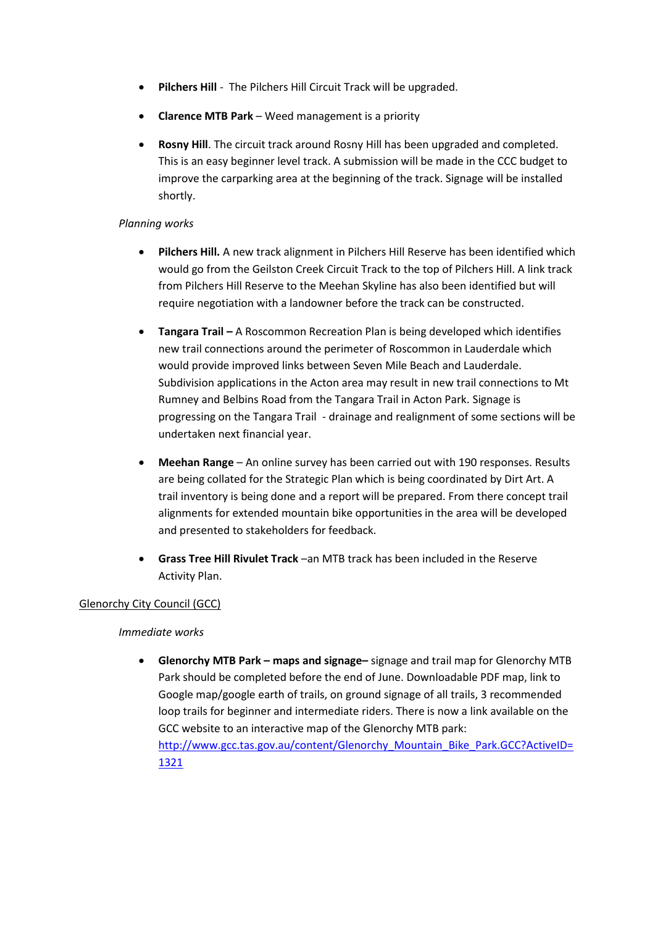- **Pilchers Hill** The Pilchers Hill Circuit Track will be upgraded.
- **Clarence MTB Park**  Weed management is a priority
- **Rosny Hill**. The circuit track around Rosny Hill has been upgraded and completed. This is an easy beginner level track. A submission will be made in the CCC budget to improve the carparking area at the beginning of the track. Signage will be installed shortly.

# *Planning works*

- **Pilchers Hill.** A new track alignment in Pilchers Hill Reserve has been identified which would go from the Geilston Creek Circuit Track to the top of Pilchers Hill. A link track from Pilchers Hill Reserve to the Meehan Skyline has also been identified but will require negotiation with a landowner before the track can be constructed.
- **Tangara Trail –** A Roscommon Recreation Plan is being developed which identifies new trail connections around the perimeter of Roscommon in Lauderdale which would provide improved links between Seven Mile Beach and Lauderdale. Subdivision applications in the Acton area may result in new trail connections to Mt Rumney and Belbins Road from the Tangara Trail in Acton Park. Signage is progressing on the Tangara Trail - drainage and realignment of some sections will be undertaken next financial year.
- **Meehan Range** An online survey has been carried out with 190 responses. Results are being collated for the Strategic Plan which is being coordinated by Dirt Art. A trail inventory is being done and a report will be prepared. From there concept trail alignments for extended mountain bike opportunities in the area will be developed and presented to stakeholders for feedback.
- **Grass Tree Hill Rivulet Track** –an MTB track has been included in the Reserve Activity Plan.

# Glenorchy City Council (GCC)

## *Immediate works*

 **Glenorchy MTB Park – maps and signage–** signage and trail map for Glenorchy MTB Park should be completed before the end of June. Downloadable PDF map, link to Google map/google earth of trails, on ground signage of all trails, 3 recommended loop trails for beginner and intermediate riders. There is now a link available on the GCC website to an interactive map of the Glenorchy MTB park: [http://www.gcc.tas.gov.au/content/Glenorchy\\_Mountain\\_Bike\\_Park.GCC?ActiveID=](http://www.gcc.tas.gov.au/content/Glenorchy_Mountain_Bike_Park.GCC?ActiveID=1321) [1321](http://www.gcc.tas.gov.au/content/Glenorchy_Mountain_Bike_Park.GCC?ActiveID=1321)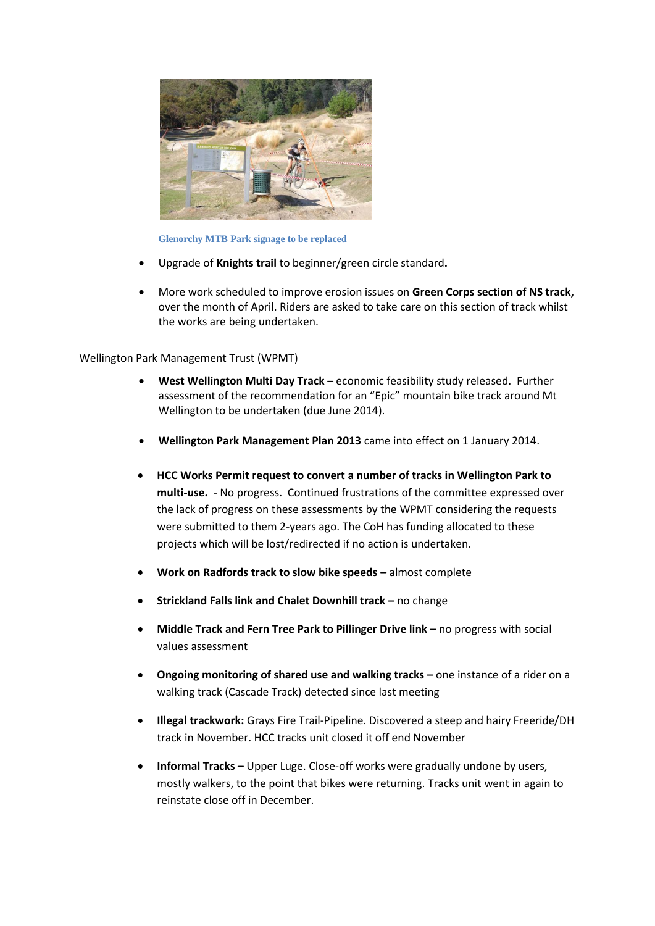

#### **Glenorchy MTB Park signage to be replaced**

- Upgrade of **Knights trail** to beginner/green circle standard**.**
- More work scheduled to improve erosion issues on **Green Corps section of NS track,**  over the month of April. Riders are asked to take care on this section of track whilst the works are being undertaken.

#### Wellington Park Management Trust (WPMT)

- **West Wellington Multi Day Track** economic feasibility study released. Further assessment of the recommendation for an "Epic" mountain bike track around Mt Wellington to be undertaken (due June 2014).
- **Wellington Park Management Plan 2013** came into effect on 1 January 2014.
- **HCC Works Permit request to convert a number of tracks in Wellington Park to multi-use.** - No progress. Continued frustrations of the committee expressed over the lack of progress on these assessments by the WPMT considering the requests were submitted to them 2-years ago. The CoH has funding allocated to these projects which will be lost/redirected if no action is undertaken.
- **Work on Radfords track to slow bike speeds –** almost complete
- **Strickland Falls link and Chalet Downhill track –** no change
- **Middle Track and Fern Tree Park to Pillinger Drive link –** no progress with social values assessment
- **•** Ongoing monitoring of shared use and walking tracks one instance of a rider on a walking track (Cascade Track) detected since last meeting
- **Illegal trackwork:** Grays Fire Trail-Pipeline. Discovered a steep and hairy Freeride/DH track in November. HCC tracks unit closed it off end November
- **Informal Tracks –** Upper Luge. Close-off works were gradually undone by users, mostly walkers, to the point that bikes were returning. Tracks unit went in again to reinstate close off in December.